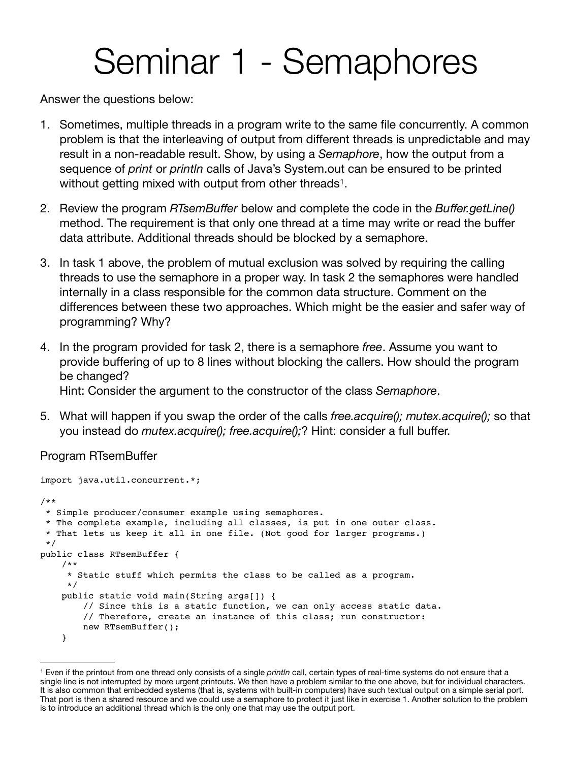## <span id="page-0-1"></span>Seminar 1 - Semaphores

Answer the questions below:

- 1. Sometimes, multiple threads in a program write to the same file concurrently. A common problem is that the interleaving of output from different threads is unpredictable and may result in a non-readable result. Show, by using a *Semaphore*, how the output from a sequence of *print* or *println* calls of Java's System.out can be ensured to be printed without getting mixed with output from other threads<sup>[1](#page-0-0)</sup>.
- 2. Review the program *RTsemBuffer* below and complete the code in the *Buffer.getLine()* method. The requirement is that only one thread at a time may write or read the buffer data attribute. Additional threads should be blocked by a semaphore.
- 3. In task 1 above, the problem of mutual exclusion was solved by requiring the calling threads to use the semaphore in a proper way. In task 2 the semaphores were handled internally in a class responsible for the common data structure. Comment on the differences between these two approaches. Which might be the easier and safer way of programming? Why?
- 4. In the program provided for task 2, there is a semaphore *free*. Assume you want to provide buffering of up to 8 lines without blocking the callers. How should the program be changed? Hint: Consider the argument to the constructor of the class *Semaphore*.
- 5. What will happen if you swap the order of the calls *free.acquire(); mutex.acquire();* so that you instead do *mutex.acquire(); free.acquire();*? Hint: consider a full buffer.

## Program RTsemBuffer

```
import java.util.concurrent.*; 
/**
 * Simple producer/consumer example using semaphores.
  * The complete example, including all classes, is put in one outer class.
  * That lets us keep it all in one file. (Not good for larger programs.)
  */
public class RTsemBuffer { 
     /**
      * Static stuff which permits the class to be called as a program. 
      */
     public static void main(String args[]) { 
         // Since this is a static function, we can only access static data. 
         // Therefore, create an instance of this class; run constructor:
         new RTsemBuffer(); 
     }
```
<span id="page-0-0"></span>Even if the printout from one thread only consists of a single *println* call, certain types of real-time systems do not ensure that a [1](#page-0-1) single line is not interrupted by more urgent printouts. We then have a problem similar to the one above, but for individual characters. It is also common that embedded systems (that is, systems with built-in computers) have such textual output on a simple serial port. That port is then a shared resource and we could use a semaphore to protect it just like in exercise 1. Another solution to the problem is to introduce an additional thread which is the only one that may use the output port.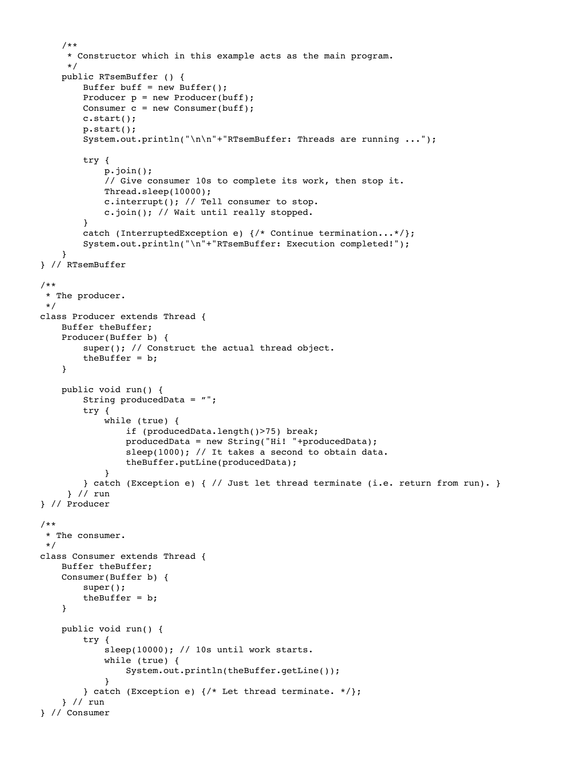```
 /**
      * Constructor which in this example acts as the main program.
      */
     public RTsemBuffer () {
        Buffer buff = new Buffer();
        Producer p = new Product(buff);Consumer c = new Consumer(buff); c.start();
         p.start();
         System.out.println("\n\n"+"RTsemBuffer: Threads are running ...");
         try {
             p.join(); 
             // Give consumer 10s to complete its work, then stop it. 
             Thread.sleep(10000);
             c.interrupt(); // Tell consumer to stop.
             c.join(); // Wait until really stopped. 
         }
         catch (InterruptedException e) {/* Continue termination...*/};
         System.out.println("\n"+"RTsemBuffer: Execution completed!"); 
     }
} // RTsemBuffer
/**
 * The producer.
 */
class Producer extends Thread {
    Buffer theBuffer;
     Producer(Buffer b) {
        super(); // Construct the actual thread object.
        theBuffer = b;
     }
     public void run() {
         String producedData = "";
         try {
             while (true) {
                 if (producedData.length()>75) break;
                 producedData = new String("Hi! "+producedData);
                sleep(1000); // It takes a second to obtain data.
                 theBuffer.putLine(producedData);
 }
         } catch (Exception e) { // Just let thread terminate (i.e. return from run). }
      } // run 
} // Producer 
/**
  * The consumer.
 */ 
class Consumer extends Thread {
     Buffer theBuffer;
     Consumer(Buffer b) {
         super();
        theBuffer = b;
     } 
     public void run() {
         try {
            sleep(10000); // 10s until work starts.
             while (true) {
                 System.out.println(theBuffer.getLine());
 }
         } catch (Exception e) {/* Let thread terminate. */};
     } // run
} // Consumer
```